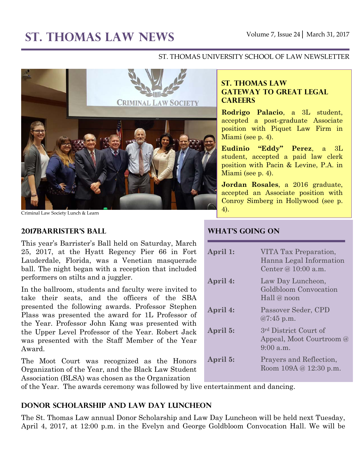#### ST. THOMAS UNIVERSITY SCHOOL OF LAW NEWSLETTER



Criminal Law Society Lunch & Learn

#### **2017Barrister's Ball**

This year's Barrister's Ball held on Saturday, March 25, 2017, at the Hyatt Regency Pier 66 in Fort Lauderdale, Florida, was a Venetian masquerade ball. The night began with a reception that included performers on stilts and a juggler.

In the ballroom, students and faculty were invited to take their seats, and the officers of the SBA presented the following awards. Professor Stephen Plass was presented the award for 1L Professor of the Year. Professor John Kang was presented with the Upper Level Professor of the Year. Robert Jack was presented with the Staff Member of the Year Award.

The Moot Court was recognized as the Honors Organization of the Year, and the Black Law Student Association (BLSA) was chosen as the Organization

### **ST. THOMAS LAW GATEWAY TO GREAT LEGAL CAREERS**

**Rodrigo Palacio**, a 3L student, accepted a post-graduate Associate position with Piquet Law Firm in Miami (see p. 4).

**Eudinio "Eddy" Perez**, a 3L student, accepted a paid law clerk position with Pacin & Levine, P.A. in Miami (see p. 4).

**Jordan Rosales**, a 2016 graduate, accepted an Associate position with Conroy Simberg in Hollywood (see p. 4).

# **What's Going On**

| April 1: | VITA Tax Preparation,<br>Hanna Legal Information<br>Center @ 10:00 a.m.   |
|----------|---------------------------------------------------------------------------|
| April 4: | Law Day Luncheon,<br>Goldbloom Convocation<br>Hall $@$ noon               |
| April 4: | Passover Seder, CPD<br>$@7:45$ p.m.                                       |
| April 5: | 3 <sup>rd</sup> District Court of<br>Appeal, Moot Courtroom @<br>9:00a.m. |
| April 5: | Prayers and Reflection,<br>Room $109A \& 12:30 \text{ p.m.}$              |

of the Year. The awards ceremony was followed by live entertainment and dancing.

### **Donor Scholarship and Law Day Luncheon**

The St. Thomas Law annual Donor Scholarship and Law Day Luncheon will be held next Tuesday, April 4, 2017, at 12:00 p.m. in the Evelyn and George Goldbloom Convocation Hall. We will be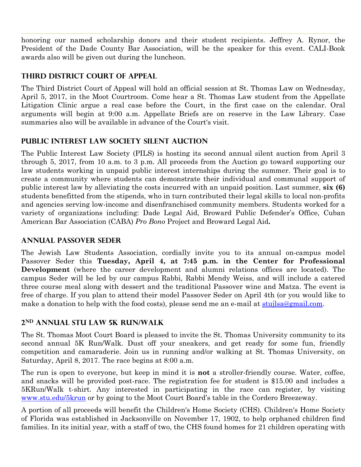honoring our named scholarship donors and their student recipients. Jeffrey A. Rynor, the President of the Dade County Bar Association, will be the speaker for this event. CALI-Book awards also will be given out during the luncheon.

## **Third District Court of Appeal**

The Third District Court of Appeal will hold an official session at St. Thomas Law on Wednesday, April 5, 2017, in the Moot Courtroom. Come hear a St. Thomas Law student from the Appellate Litigation Clinic argue a real case before the Court, in the first case on the calendar. Oral arguments will begin at 9:00 a.m. Appellate Briefs are on reserve in the Law Library. Case summaries also will be available in advance of the Court's visit.

### **Public Interest Law Society Silent Auction**

The Public Interest Law Society (PILS) is hosting its second annual silent auction from April 3 through 5, 2017, from 10 a.m. to 3 p.m. All proceeds from the Auction go toward supporting our law students working in unpaid public interest internships during the summer. Their goal is to create a community where students can demonstrate their individual and communal support of public interest law by alleviating the costs incurred with an unpaid position. Last summer, **six (6)** students benefitted from the stipends, who in turn contributed their legal skills to local non-profits and agencies serving low-income and disenfranchised community members. Students worked for a variety of organizations including: Dade Legal Aid, Broward Public Defender's Office, Cuban American Bar Association (CABA) *Pro Bono* Project and Broward Legal Aid**.**

### **Annual Passover Seder**

The Jewish Law Students Association, cordially invite you to its annual on-campus model Passover Seder this **Tuesday, April 4, at 7:45 p.m. in the Center for Professional Development** (where the career development and alumni relations offices are located). The campus Seder will be led by our campus Rabbi, Rabbi Mendy Weiss, and will include a catered three course meal along with dessert and the traditional Passover wine and Matza. The event is free of charge. If you plan to attend their model Passover Seder on April 4th (or you would like to make a donation to help with the food costs), please send me an e-mail at [stujlsa@gmail.com.](mailto:stujlsa@gmail.com)

# **2nd Annual STU Law 5K Run/Walk**

The St. Thomas Moot Court Board is pleased to invite the St. Thomas University community to its second annual 5K Run/Walk. Dust off your sneakers, and get ready for some fun, friendly competition and camaraderie. Join us in running and/or walking at St. Thomas University, on Saturday, April 8, 2017. The race begins at 8:00 a.m.

The run is open to everyone, but keep in mind it is **not** a stroller-friendly course. Water, coffee, and snacks will be provided post-race. The registration fee for student is \$15.00 and includes a 5KRun/Walk t-shirt. Any interested in participating in the race can register, by visiting [www.stu.edu/5krun](http://www.stu.edu/5krun) or by going to the Moot Court Board's table in the Cordero Breezeway.

A portion of all proceeds will benefit the Children's Home Society (CHS). Children's Home Society of Florida was established in Jacksonville on November 17, 1902, to help orphaned children find families. In its initial year, with a staff of two, the CHS found homes for 21 children operating with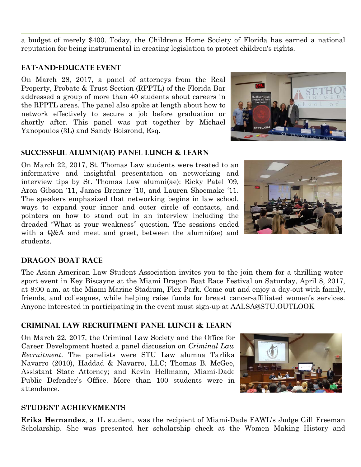a budget of merely \$400. Today, the Children's Home Society of Florida has earned a national reputation for being instrumental in creating legislation to protect children's rights.

## **Eat-and-educate event**

On March 28, 2017, a panel of attorneys from the Real Property, Probate & Trust Section (RPPTL) of the Florida Bar addressed a group of more than 40 students about careers in the RPPTL areas. The panel also spoke at length about how to network effectively to secure a job before graduation or shortly after. This panel was put together by Michael Yanopoulos (3L) and Sandy Boisrond, Esq.

### **Successful Alumni(ae) Panel Lunch & Learn**

On March 22, 2017, St. Thomas Law students were treated to an informative and insightful presentation on networking and interview tips by St. Thomas Law alumni(ae): Ricky Patel '09, Aron Gibson '11, James Brenner '10, and Lauren Shoemake '11. The speakers emphasized that networking begins in law school, ways to expand your inner and outer circle of contacts, and pointers on how to stand out in an interview including the dreaded "What is your weakness" question. The sessions ended with a Q&A and meet and greet, between the alumni(ae) and students.





### **Dragon Boat Race**

The Asian American Law Student Association invites you to the join them for a thrilling watersport event in Key Biscayne at the Miami Dragon Boat Race Festival on Saturday, April 8, 2017, at 8:00 a.m. at the Miami Marine Stadium, Flex Park. Come out and enjoy a day-out with family, friends, and colleagues, while helping raise funds for breast cancer-affiliated women's services. Anyone interested in participating in the event must sign-up at AALSA@STU.OUTLOOK

### **Criminal Law Recruitment Panel Lunch & Learn**

On March 22, 2017, the Criminal Law Society and the Office for Career Development hosted a panel discussion on *Criminal Law Recruitment*. The panelists were STU Law alumna Tarlika Navarro (2010), Haddad & Navarro, LLC; Thomas B. McGee, Assistant State Attorney; and Kevin Hellmann, Miami-Dade Public Defender's Office. More than 100 students were in attendance.



#### **STUDENT ACHIEVEMENTS**

**Erika Hernandez**, a 1L student, was the recipient of Miami-Dade FAWL's Judge Gill Freeman Scholarship. She was presented her scholarship check at the Women Making History and